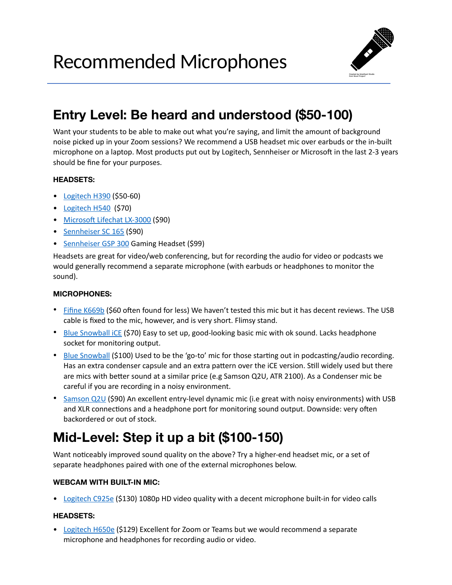Recommended Microphones



## **Entry Level: Be heard and understood (\$50-100)**

Want your students to be able to make out what you're saying, and limit the amount of background noise picked up in your Zoom sessions? We recommend a USB headset mic over earbuds or the in-built microphone on a laptop. Most products put out by Logitech, Sennheiser or Microsoft in the last 2-3 years should be fine for your purposes.

### **HEADSETS:**

- [Logitech H390](https://www.logitech.com/en-ca/product/stereo-headset-h390?crid=36) (\$50-60)
- [Logitech H540](https://www.logitech.com/en-ca/product/usb-headset-h540?crid=36) (\$70)
- Microsoft Lifechat LX-3000 (\$90)
- [Sennheiser SC 165](https://www.bestbuy.ca/en-ca/product/sennheiser-sc-165-usb-headset/13496782) (\$90)
- [Sennheiser GSP 300](https://www.amazon.ca/Sennheiser-GSP-300-Gaming-Headset/dp/B01KV3BB0S/ref=sr_1_3?dchild=1&keywords=sennheiser+headset&qid=1596665294&s=electronics&sr=1-3) Gaming Headset (\$99)

Headsets are great for video/web conferencing, but for recording the audio for video or podcasts we would generally recommend a separate microphone (with earbuds or headphones to monitor the sound).

#### **MICROPHONES:**

- [Fifine K669b](https://www.amazon.ca/FIFINE-Microphone-Recording-Streaming-Broadcast/dp/B06XQ39XCY/ref=sr_1_3?dchild=1&keywords=fifine+usb+microphone&qid=1596692894&sr=8-3&th=1) (\$60 often found for less) We haven't tested this mic but it has decent reviews. The USB cable is fixed to the mic, however, and is very short. Flimsy stand.
- [Blue Snowball iCE](https://www.amazon.ca/dp/B014PYGTUQ?linkCode=gs2&tag=gearank-20) (\$70) Easy to set up, good-looking basic mic with ok sound. Lacks headphone socket for monitoring output.
- [Blue Snowball](https://www.londondrugs.com/blue-microphones-snowball-usb-microphone---brushed-aluminum---snowball-s/L5954169.html) (\$100) Used to be the 'go-to' mic for those starting out in podcasting/audio recording. Has an extra condenser capsule and an extra pattern over the iCE version. Still widely used but there are mics with better sound at a similar price (e.g Samson Q2U, ATR 2100). As a Condenser mic be careful if you are recording in a noisy environment.
- [Samson Q2U](http://www.samsontech.com/samson/products/microphones/usb-microphones/q2u/) (\$90) An excellent entry-level dynamic mic (i.e great with noisy environments) with USB and XLR connections and a headphone port for monitoring sound output. Downside: very often backordered or out of stock.

# **Mid-Level: Step it up a bit (\$100-150)**

Want noticeably improved sound quality on the above? Try a higher-end headset mic, or a set of separate headphones paired with one of the external microphones below.

### **WEBCAM WITH BUILT-IN MIC:**

• [Logitech C925e](https://www.logitech.com/en-ca/product/c925e-webcam) (\$130) 1080p HD video quality with a decent microphone built-in for video calls

### **HEADSETS:**

• [Logitech H650e](https://www.logitech.com/en-ca/product/h650e-headset?crid=36) (\$129) Excellent for Zoom or Teams but we would recommend a separate microphone and headphones for recording audio or video.